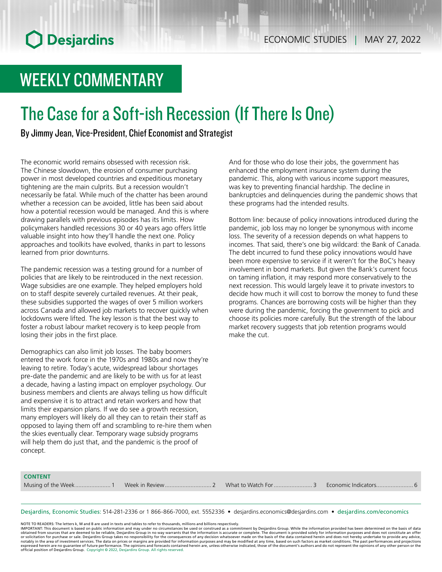## WEEKLY COMMENTARY

## The Case for a Soft-ish Recession (If There Is One)

By Jimmy Jean, Vice-President, Chief Economist and Strategist

The economic world remains obsessed with recession risk. The Chinese slowdown, the erosion of consumer purchasing power in most developed countries and expeditious monetary tightening are the main culprits. But a recession wouldn't necessarily be fatal. While much of the chatter has been around whether a recession can be avoided, little has been said about how a potential recession would be managed. And this is where drawing parallels with previous episodes has its limits. How policymakers handled recessions 30 or 40 years ago offers little valuable insight into how they'll handle the next one. Policy approaches and toolkits have evolved, thanks in part to lessons learned from prior downturns.

The pandemic recession was a testing ground for a number of policies that are likely to be reintroduced in the next recession. Wage subsidies are one example. They helped employers hold on to staff despite severely curtailed revenues. At their peak, these subsidies supported the wages of over 5 million workers across Canada and allowed job markets to recover quickly when lockdowns were lifted. The key lesson is that the best way to foster a robust labour market recovery is to keep people from losing their jobs in the first place.

Demographics can also limit job losses. The baby boomers entered the work force in the 1970s and 1980s and now they're leaving to retire. Today's acute, widespread labour shortages pre-date the pandemic and are likely to be with us for at least a decade, having a lasting impact on employer psychology. Our business members and clients are always telling us how difficult and expensive it is to attract and retain workers and how that limits their expansion plans. If we do see a growth recession, many employers will likely do all they can to retain their staff as opposed to laying them off and scrambling to re-hire them when the skies eventually clear. Temporary wage subsidy programs will help them do just that, and the pandemic is the proof of concept.

And for those who do lose their jobs, the government has enhanced the employment insurance system during the pandemic. This, along with various income support measures, was key to preventing financial hardship. The decline in bankruptcies and delinquencies during the pandemic shows that these programs had the intended results.

Bottom line: because of policy innovations introduced during the pandemic, job loss may no longer be synonymous with income loss. The severity of a recession depends on what happens to incomes. That said, there's one big wildcard: the Bank of Canada. The debt incurred to fund these policy innovations would have been more expensive to service if it weren't for the BoC's heavy involvement in bond markets. But given the Bank's current focus on taming inflation, it may respond more conservatively to the next recession. This would largely leave it to private investors to decide how much it will cost to borrow the money to fund these programs. Chances are borrowing costs will be higher than they were during the pandemic, forcing the government to pick and choose its policies more carefully. But the strength of the labour market recovery suggests that job retention programs would make the cut.

#### **CONTENT**

Musing of the Week...................... 1 Week in Review............................. 2 What to Watch For........................ 3 Economic Indicators....................... 6

Desjardins, Economic Studies: 514‑281‑2336 or 1 866‑866‑7000, ext. 5552336 • desjardins.economics@desjardins.com • [desjardins.com/economics](http://desjardins.com/economics)

NOTE TO READERS: The letters k, M and B are used in texts and tables to refer to thousands, millions and billions respectively.<br>IMPORTANT: This document is based on public information and may under no circumstances be used obtained from sources that are deemed to be reliable, Desjardins Group in no way warrants that the information is accurate or complete. The document is provided solely for information purposes and does not constitute an of expressed herein are no guarantee of future performance. The opinions and forecasts contained herein are, unless otherwise indicated, those of the document's authors and do not represent the opinions of any other person or official position of Desjardins Group. Copyright © 2022, Desjardins Group. All rights reserved.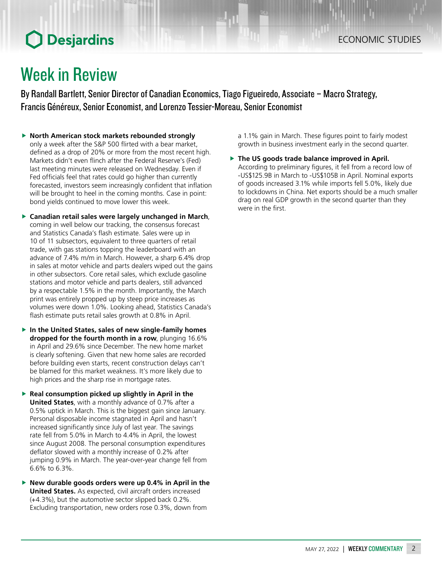### Week in Review

By Randall Bartlett, Senior Director of Canadian Economics, Tiago Figueiredo, Associate – Macro Strategy, Francis Généreux, Senior Economist, and Lorenzo Tessier-Moreau, Senior Economist

- **F** North American stock markets rebounded strongly only a week after the S&P 500 flirted with a bear market, defined as a drop of 20% or more from the most recent high. Markets didn't even flinch after the Federal Reserve's (Fed) last meeting minutes were released on Wednesday. Even if Fed officials feel that rates could go higher than currently forecasted, investors seem increasingly confident that inflation will be brought to heel in the coming months. Case in point: bond yields continued to move lower this week.
- **F** Canadian retail sales were largely unchanged in March, coming in well below our tracking, the consensus forecast and Statistics Canada's flash estimate. Sales were up in 10 of 11 subsectors, equivalent to three quarters of retail trade, with gas stations topping the leaderboard with an advance of 7.4% m/m in March. However, a sharp 6.4% drop in sales at motor vehicle and parts dealers wiped out the gains in other subsectors. Core retail sales, which exclude gasoline stations and motor vehicle and parts dealers, still advanced by a respectable 1.5% in the month. Importantly, the March print was entirely propped up by steep price increases as volumes were down 1.0%. Looking ahead, Statistics Canada's flash estimate puts retail sales growth at 0.8% in April.
- **In the United States, sales of new single-family homes dropped for the fourth month in a row**, plunging 16.6% in April and 29.6% since December. The new home market is clearly softening. Given that new home sales are recorded before building even starts, recent construction delays can't be blamed for this market weakness. It's more likely due to high prices and the sharp rise in mortgage rates.
- **Figure 1** Real consumption picked up slightly in April in the **United States**, with a monthly advance of 0.7% after a 0.5% uptick in March. This is the biggest gain since January. Personal disposable income stagnated in April and hasn't increased significantly since July of last year. The savings rate fell from 5.0% in March to 4.4% in April, the lowest since August 2008. The personal consumption expenditures deflator slowed with a monthly increase of 0.2% after jumping 0.9% in March. The year-over-year change fell from 6.6% to 6.3%.
- **New durable goods orders were up 0.4% in April in the United States.** As expected, civil aircraft orders increased (+4.3%), but the automotive sector slipped back 0.2%. Excluding transportation, new orders rose 0.3%, down from

a 1.1% gain in March. These figures point to fairly modest growth in business investment early in the second quarter.

**Fig. 2** The US goods trade balance improved in April. According to preliminary figures, it fell from a record low of -US\$125.9B in March to -US\$105B in April. Nominal exports of goods increased 3.1% while imports fell 5.0%, likely due to lockdowns in China. Net exports should be a much smaller drag on real GDP growth in the second quarter than they were in the first.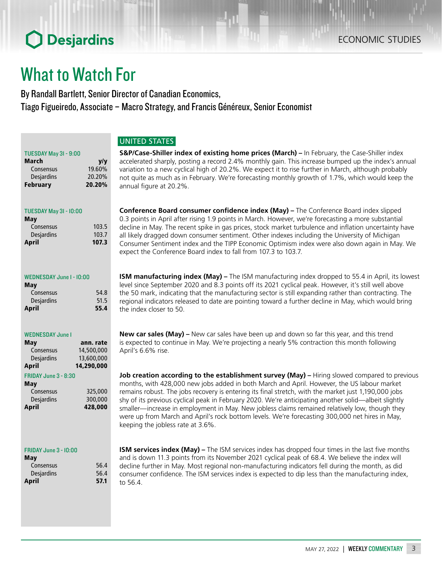### What to Watch For

By Randall Bartlett, Senior Director of Canadian Economics, Tiago Figueiredo, Associate – Macro Strategy, and Francis Généreux, Senior Economist

#### UNITED STATES

| TUESDAY May 31 - 9:00 |        |
|-----------------------|--------|
| <b>March</b>          | V/V    |
| Consensus             | 19.60% |
| <b>Desjardins</b>     | 20.20% |
| <b>February</b>       | 20.20% |

#### TUESDAY May 31 - 10:00

| May               |       |
|-------------------|-------|
| Consensus         | 103.5 |
| <b>Desjardins</b> | 103.7 |
| April             | 107.3 |
|                   |       |

#### WEDNESDAY June 1 - 10:00

| 54.8 |
|------|
| 51.5 |
| 55.4 |
|      |

#### WEDNESDAY June 1

| May                         | ann. rate  |
|-----------------------------|------------|
| Consensus                   | 14,500,000 |
| <b>Desjardins</b>           | 13,600,000 |
| April                       | 14,290,000 |
| <b>FRIDAY June 3 - 8:30</b> |            |

| May               |         |
|-------------------|---------|
| Consensus         | 325,000 |
| <b>Desjardins</b> | 300,000 |
| April             | 428,000 |
|                   |         |

#### FRIDAY June 3 - 10:00

| May        |      |
|------------|------|
| Consensus  | 56.4 |
| Desjardins | 56.4 |
| April      | 57.1 |

**S&P/Case-Shiller index of existing home prices (March) –** In February, the Case-Shiller index accelerated sharply, posting a record 2.4% monthly gain. This increase bumped up the index's annual variation to a new cyclical high of 20.2%. We expect it to rise further in March, although probably not quite as much as in February. We're forecasting monthly growth of 1.7%, which would keep the annual figure at 20.2%.

**Conference Board consumer confidence index (May) –** The Conference Board index slipped 0.3 points in April after rising 1.9 points in March. However, we're forecasting a more substantial decline in May. The recent spike in gas prices, stock market turbulence and inflation uncertainty have all likely dragged down consumer sentiment. Other indexes including the University of Michigan Consumer Sentiment index and the TIPP Economic Optimism index were also down again in May. We expect the Conference Board index to fall from 107.3 to 103.7.

**ISM manufacturing index (May) –** The ISM manufacturing index dropped to 55.4 in April, its lowest level since September 2020 and 8.3 points off its 2021 cyclical peak. However, it's still well above the 50 mark, indicating that the manufacturing sector is still expanding rather than contracting. The regional indicators released to date are pointing toward a further decline in May, which would bring the index closer to 50.

**New car sales (May) –** New car sales have been up and down so far this year, and this trend is expected to continue in May. We're projecting a nearly 5% contraction this month following April's 6.6% rise.

**Job creation according to the establishment survey (May) –** Hiring slowed compared to previous months, with 428,000 new jobs added in both March and April. However, the US labour market remains robust. The jobs recovery is entering its final stretch, with the market just 1,190,000 jobs shy of its previous cyclical peak in February 2020. We're anticipating another solid—albeit slightly smaller—increase in employment in May. New jobless claims remained relatively low, though they were up from March and April's rock bottom levels. We're forecasting 300,000 net hires in May, keeping the jobless rate at 3.6%.

**ISM services index (May) –** The ISM services index has dropped four times in the last five months and is down 11.3 points from its November 2021 cyclical peak of 68.4. We believe the index will decline further in May. Most regional non-manufacturing indicators fell during the month, as did consumer confidence. The ISM services index is expected to dip less than the manufacturing index, to 56.4.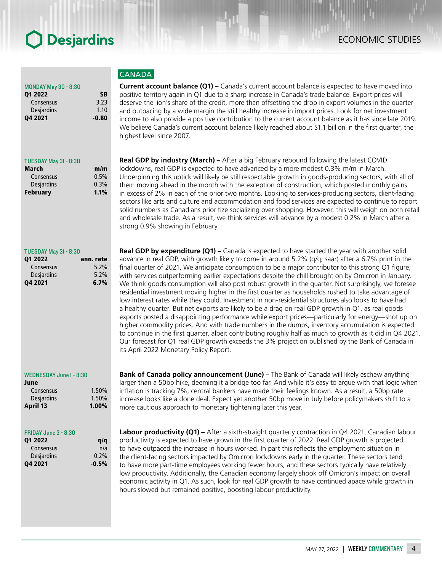#### **CANADA**

**Current account balance (Q1) –** Canada's current account balance is expected to have moved into positive territory again in Q1 due to a sharp increase in Canada's trade balance. Export prices will deserve the lion's share of the credit, more than offsetting the drop in export volumes in the quarter and outpacing by a wide margin the still healthy increase in import prices. Look for net investment income to also provide a positive contribution to the current account balance as it has since late 2019. We believe Canada's current account balance likely reached about \$1.1 billion in the first quarter, the highest level since 2007.

**Real GDP by industry (March) –** After a big February rebound following the latest COVID lockdowns, real GDP is expected to have advanced by a more modest 0.3% m/m in March. Underpinning this uptick will likely be still respectable growth in goods-producing sectors, with all of them moving ahead in the month with the exception of construction, which posted monthly gains in excess of 2% in each of the prior two months. Looking to services-producing sectors, client-facing sectors like arts and culture and accommodation and food services are expected to continue to report solid numbers as Canadians prioritize socializing over shopping. However, this will weigh on both retail and wholesale trade. As a result, we think services will advance by a modest 0.2% in March after a strong 0.9% showing in February.

**Real GDP by expenditure (Q1) –** Canada is expected to have started the year with another solid advance in real GDP, with growth likely to come in around 5.2% (q/q, saar) after a 6.7% print in the final quarter of 2021. We anticipate consumption to be a major contributor to this strong Q1 figure, with services outperforming earlier expectations despite the chill brought on by Omicron in January. We think goods consumption will also post robust growth in the quarter. Not surprisingly, we foresee residential investment moving higher in the first quarter as households rushed to take advantage of low interest rates while they could. Investment in non-residential structures also looks to have had a healthy quarter. But net exports are likely to be a drag on real GDP growth in Q1, as real goods exports posted a disappointing performance while export prices—particularly for energy—shot up on higher commodity prices. And with trade numbers in the dumps, inventory accumulation is expected to continue in the first quarter, albeit contributing roughly half as much to growth as it did in Q4 2021. Our forecast for Q1 real GDP growth exceeds the 3% projection published by the Bank of Canada in its April 2022 Monetary Policy Report.

**Bank of Canada policy announcement (June) –** The Bank of Canada will likely eschew anything larger than a 50bp hike, deeming it a bridge too far. And while it's easy to argue with that logic when inflation is tracking 7%, central bankers have made their feelings known. As a result, a 50bp rate increase looks like a done deal. Expect yet another 50bp move in July before policymakers shift to a more cautious approach to monetary tightening later this year.

**Labour productivity (Q1) –** After a sixth-straight quarterly contraction in Q4 2021, Canadian labour productivity is expected to have grown in the first quarter of 2022. Real GDP growth is projected to have outpaced the increase in hours worked. In part this reflects the employment situation in the client-facing sectors impacted by Omicron lockdowns early in the quarter. These sectors tend to have more part-time employees working fewer hours, and these sectors typically have relatively low productivity. Additionally, the Canadian economy largely shook off Omicron's impact on overall economic activity in Q1. As such, look for real GDP growth to have continued apace while growth in hours slowed but remained positive, boosting labour productivity.

#### MONDAY May 30 - 8:30 Q1 2022 \$B

| Q4 2021           | -0.80 |
|-------------------|-------|
| <b>Desjardins</b> | 1.10  |
| Consensus         | 3.23  |
|                   |       |

#### TUESDAY May 31 - 8:30

| m/m  |
|------|
| 0.5% |
| 0.3% |
| 1.1% |
|      |

#### TUESDAY May 31 - 8:30

| 01 2022           | ann. rate |
|-------------------|-----------|
| Consensus         | 5.2%      |
| <b>Desjardins</b> | 5.2%      |
| 04 2021           | 6.7%      |

#### WEDNESDAY June 1 - 8:30

| June              |       |
|-------------------|-------|
| Consensus         | 1.50% |
| <b>Desjardins</b> | 1.50% |
| April 13          | 1.00% |

#### FRIDAY June 3 - 8:30

| 01 2022    | a/a     |
|------------|---------|
| Consensus  | n/a     |
| Desjardins | 0.2%    |
| 04 2021    | $-0.5%$ |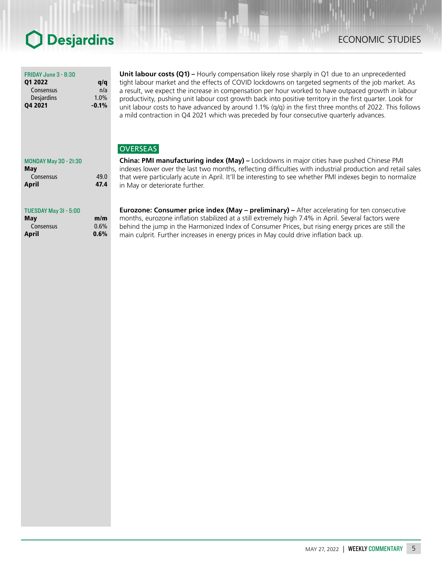### ECONOMIC STUDIES

#### FRIDAY June 3 - 8:30

| 01 2022        | q/q     |
|----------------|---------|
| Consensus      | n/a     |
| Desjardins     | 1.0%    |
| <b>Q4 2021</b> | $-0.1%$ |

**Unit labour costs (Q1)** – Hourly compensation likely rose sharply in Q1 due to an unprecedented tight labour market and the effects of COVID lockdowns on targeted segments of the job market. As a result, we expect the increase in compensation per hour worked to have outpaced growth in labour productivity, pushing unit labour cost growth back into positive territory in the first quarter. Look for unit labour costs to have advanced by around 1.1% (q/q) in the first three months of 2022. This follows a mild contraction in Q4 2021 which was preceded by four consecutive quarterly advances.

#### **OVERSEAS**

**China: PMI manufacturing index (May) –** Lockdowns in major cities have pushed Chinese PMI indexes lower over the last two months, reflecting difficulties with industrial production and retail sales that were particularly acute in April. It'll be interesting to see whether PMI indexes begin to normalize in May or deteriorate further.

TUESDAY May 31 - 5:00

MONDAY May 30 - 21:30

May

| Mav       | m/m  |
|-----------|------|
| Consensus | 0.6% |
| April     | 0.6% |

Consensus 49.0 April 47.4

> **Eurozone: Consumer price index (May – preliminary) –** After accelerating for ten consecutive months, eurozone inflation stabilized at a still extremely high 7.4% in April. Several factors were behind the jump in the Harmonized Index of Consumer Prices, but rising energy prices are still the main culprit. Further increases in energy prices in May could drive inflation back up.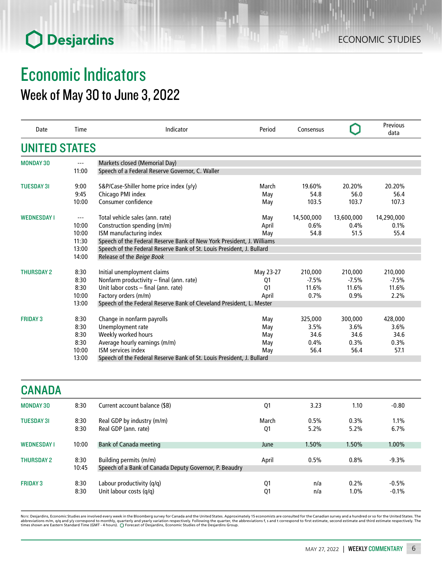### Economic Indicators Week of May 30 to June 3, 2022

| Date                 | Time          | Indicator                                                             | Period    | Consensus  |            | Previous<br>data |
|----------------------|---------------|-----------------------------------------------------------------------|-----------|------------|------------|------------------|
| <b>UNITED STATES</b> |               |                                                                       |           |            |            |                  |
| <b>MONDAY 30</b>     | $---$         | Markets closed (Memorial Day)                                         |           |            |            |                  |
|                      | 11:00         | Speech of a Federal Reserve Governor, C. Waller                       |           |            |            |                  |
| <b>TUESDAY 31</b>    | 9:00          | S&P/Case-Shiller home price index (y/y)                               | March     | 19.60%     | 20.20%     | 20.20%           |
|                      | 9:45          | Chicago PMI index                                                     | May       | 54.8       | 56.0       | 56.4             |
|                      | 10:00         | Consumer confidence                                                   | May       | 103.5      | 103.7      | 107.3            |
| <b>WEDNESDAY I</b>   | $\sim$ $\sim$ | Total vehicle sales (ann. rate)                                       | May       | 14,500,000 | 13,600,000 | 14,290,000       |
|                      | 10:00         | Construction spending (m/m)                                           | April     | 0.6%       | 0.4%       | 0.1%             |
|                      | 10:00         | ISM manufacturing index                                               | May       | 54.8       | 51.5       | 55.4             |
|                      | 11:30         | Speech of the Federal Reserve Bank of New York President, J. Williams |           |            |            |                  |
|                      | 13:00         | Speech of the Federal Reserve Bank of St. Louis President, J. Bullard |           |            |            |                  |
|                      | 14:00         | Release of the Beige Book                                             |           |            |            |                  |
|                      |               |                                                                       |           |            |            |                  |
| <b>THURSDAY 2</b>    | 8:30          | Initial unemployment claims                                           | May 23-27 | 210,000    | 210,000    | 210,000          |
|                      | 8:30          | Nonfarm productivity - final (ann. rate)                              | Q1        | $-7.5%$    | $-7.5%$    | $-7.5%$          |
|                      | 8:30          | Unit labor costs - final (ann. rate)                                  | Q1        | 11.6%      | 11.6%      | 11.6%            |
|                      | 10:00         | Factory orders (m/m)                                                  | April     | 0.7%       | 0.9%       | 2.2%             |
|                      | 13:00         | Speech of the Federal Reserve Bank of Cleveland President, L. Mester  |           |            |            |                  |
| <b>FRIDAY 3</b>      | 8:30          | Change in nonfarm payrolls                                            | May       | 325,000    | 300,000    | 428,000          |
|                      | 8:30          | Unemployment rate                                                     | May       | 3.5%       | 3.6%       | 3.6%             |
|                      | 8:30          | Weekly worked hours                                                   | May       | 34.6       | 34.6       | 34.6             |
|                      | 8:30          | Average hourly earnings (m/m)                                         | May       | 0.4%       | 0.3%       | 0.3%             |
|                      | 10:00         | ISM services index                                                    | May       | 56.4       | 56.4       | 57.1             |
|                      | 13:00         | Speech of the Federal Reserve Bank of St. Louis President, J. Bullard |           |            |            |                  |
|                      |               |                                                                       |           |            |            |                  |
| <b>CANADA</b>        |               |                                                                       |           |            |            |                  |
| <b>MONDAY 30</b>     | 8:30          | Current account balance (\$B)                                         | Q1        | 3.23       | 1.10       | $-0.80$          |
| <b>TUESDAY 31</b>    | 8:30          | Real GDP by industry (m/m)                                            | March     | 0.5%       | 0.3%       | $1.1\%$          |
|                      | 8:30          | Real GDP (ann. rate)                                                  | Q1        | 5.2%       | 5.2%       | 6.7%             |
|                      |               |                                                                       |           |            |            |                  |
| <b>WEDNESDAY I</b>   | 10:00         | <b>Bank of Canada meeting</b>                                         | June      | 1.50%      | 1.50%      | 1.00%            |
| <b>THURSDAY 2</b>    | 8:30          | Building permits (m/m)                                                | April     | 0.5%       | 0.8%       | $-9.3%$          |
|                      | 10:45         | Speech of a Bank of Canada Deputy Governor, P. Beaudry                |           |            |            |                  |
|                      |               |                                                                       |           |            |            |                  |

Nore: Desjardins, Economic Studies are involved every week in the Bloomberg survey for Canada and the United States. Approximately 15 economists are consulted for the Canadian survey and a hundred or so for the United Sta

Unit labour costs  $(q/q)$  and  $\frac{q}{q}$  and  $\frac{1.0\%}{1.0\%}$ 

FRIDAY 3 8:30 Labour productivity (q/q) Q1 n/a 0.2% -0.5%